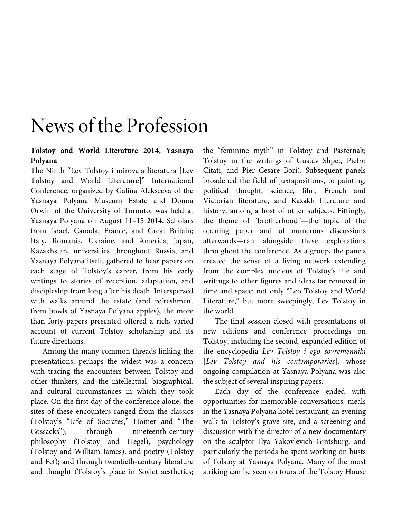## News of the Profession

## **Tolstoy and World Literature 2014, Yasnaya Polyana**

The Ninth "Lev Tolstoy i mirovaia literatura [Lev Tolstoy and World Literature]" International Conference, organized by Galina Alekseeva of the Yasnaya Polyana Museum Estate and Donna Orwin of the University of Toronto, was held at Yasnaya Polyana on August 11–15 2014. Scholars from Israel, Canada, France, and Great Britain; Italy, Romania, Ukraine, and America; Japan, Kazakhstan, universities throughout Russia, and Yasnaya Polyana itself, gathered to hear papers on each stage of Tolstoy's career, from his early writings to stories of reception, adaptation, and discipleship from long after his death. Interspersed with walks around the estate (and refreshment from bowls of Yasnaya Polyana apples), the more than forty papers presented offered a rich, varied account of current Tolstoy scholarship and its future directions.

Among the many common threads linking the presentations, perhaps the widest was a concern with tracing the encounters between Tolstoy and other thinkers, and the intellectual, biographical, and cultural circumstances in which they took place. On the first day of the conference alone, the sites of these encounters ranged from the classics (Tolstoy's "Life of Socrates," Homer and "The Cossacks"), through nineteenth-century philosophy (Tolstoy and Hegel), psychology (Tolstoy and William James), and poetry (Tolstoy and Fet); and through twentieth-century literature and thought (Tolstoy's place in Soviet aesthetics;

the "feminine myth" in Tolstoy and Pasternak; Tolstoy in the writings of Gustav Shpet, Pietro Citati, and Pier Cesare Bori). Subsequent panels broadened the field of juxtapositions, to painting, political thought, science, film, French and Victorian literature, and Kazakh literature and history, among a host of other subjects. Fittingly, the theme of "brotherhood"—the topic of the opening paper and of numerous discussions afterwards—ran alongside these explorations throughout the conference. As a group, the panels created the sense of a living network extending from the complex nucleus of Tolstoy's life and writings to other figures and ideas far removed in time and space: not only "Leo Tolstoy and World Literature," but more sweepingly, Lev Tolstoy in the world.

The final session closed with presentations of new editions and conference proceedings on Tolstoy, including the second, expanded edition of the encyclopedia *Lev Tolstoy i ego sovremenniki* [*Lev Tolstoy and his contemporaries*], whose ongoing compilation at Yasnaya Polyana was also the subject of several inspiring papers.

Each day of the conference ended with opportunities for memorable conversations: meals in the Yasnaya Polyana hotel restaurant, an evening walk to Tolstoy's grave site, and a screening and discussion with the director of a new documentary on the sculptor Ilya Yakovlevich Gintsburg, and particularly the periods he spent working on busts of Tolstoy at Yasnaya Polyana. Many of the most striking can be seen on tours of the Tolstoy House